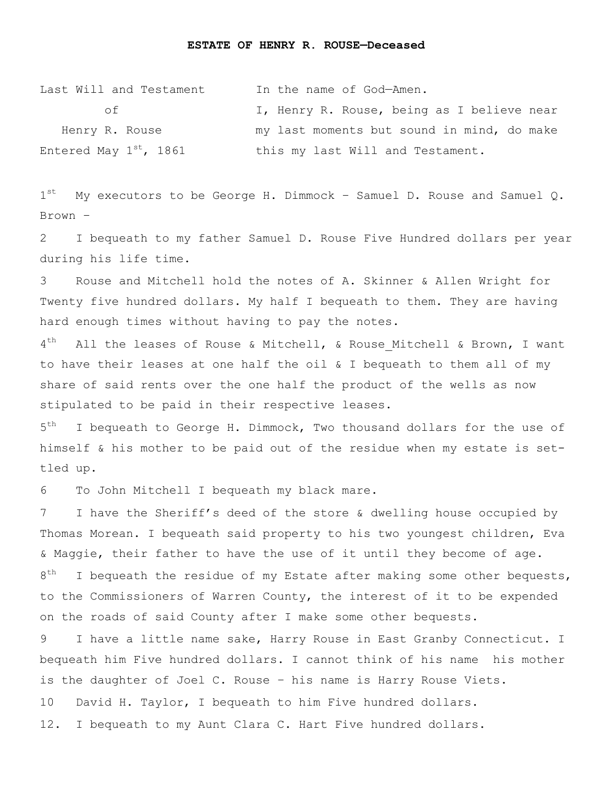## **ESTATE OF HENRY R. ROUSE—Deceased**

| Last Will and Testament     | In the name of God-Amen.                   |
|-----------------------------|--------------------------------------------|
| n t                         | I, Henry R. Rouse, being as I believe near |
| Henry R. Rouse              | my last moments but sound in mind, do make |
| Entered May $1^{st}$ , 1861 | this my last Will and Testament.           |

 $1^{st}$ My executors to be George H. Dimmock - Samuel D. Rouse and Samuel Q. Brown –

2 I bequeath to my father Samuel D. Rouse Five Hundred dollars per year during his life time.

3 Rouse and Mitchell hold the notes of A. Skinner & Allen Wright for Twenty five hundred dollars. My half I bequeath to them. They are having hard enough times without having to pay the notes.

 $4<sup>th</sup>$ All the leases of Rouse & Mitchell, & Rouse Mitchell & Brown, I want to have their leases at one half the oil & I bequeath to them all of my share of said rents over the one half the product of the wells as now stipulated to be paid in their respective leases.

 $5<sup>th</sup>$ I bequeath to George H. Dimmock, Two thousand dollars for the use of himself & his mother to be paid out of the residue when my estate is settled up.

6 To John Mitchell I bequeath my black mare.

7 I have the Sheriff's deed of the store & dwelling house occupied by Thomas Morean. I bequeath said property to his two youngest children, Eva & Maggie, their father to have the use of it until they become of age. 8<sup>th</sup> I bequeath the residue of my Estate after making some other bequests, to the Commissioners of Warren County, the interest of it to be expended on the roads of said County after I make some other bequests.

9 I have a little name sake, Harry Rouse in East Granby Connecticut. I bequeath him Five hundred dollars. I cannot think of his name his mother is the daughter of Joel C. Rouse – his name is Harry Rouse Viets.

10 David H. Taylor, I bequeath to him Five hundred dollars.

12. I bequeath to my Aunt Clara C. Hart Five hundred dollars.